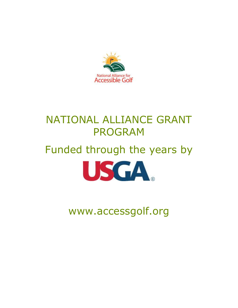

# NATIONAL ALLIANCE GRANT PROGRAM

# Funded through the years by



www.accessgolf.org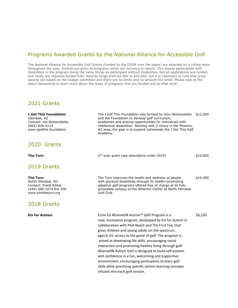# Programs Awarded Grants by the National Alliance for Accessible Golf

The National Alliance for Accessible Golf Grants (funded by the USGA over the years) are awarded on a rolling basis throughout the year. Awards are given to programs which are inclusive in nature. This means participants with disabilities in the program doing the same things as participant without disabilities. Not all applications are funded, and rarely are requests funded fully. Awards range from \$2,000 to \$20,000, but it is important to note that grant awards are based on the budget submitted and there are no limits and no amount too small. Please look at the below documents to learn more about the types of programs that are funded and at what level.

# 2021 Grants

# 2020 Grants

**The Turn** 

# 2019 Grants

www.jointheturn.org Golf Club.

## 2018 Grants

**I Got This Foundation** The I Got This Foundation was formed by Amy Bockerstette \$12,500 Glendale, AZ and the Foundation to develop golf curriculum, Contact: Joe Bockerstette academies and playing opportunities for individuals with (602) 828-4114 intellectual disabilities. Starting with 2 clinics in the Phoenix, www.igotthis.foundation **AZ** area, the goal is to expand nationwide the I Got This Golf Academy.

 $2<sup>nd</sup>$  year grant (see descriptive under 2019)  $$10,000$ 

**The Turn** Superson The Turn improves the health and wellness of people  $$10,000$ North Olmsted, OH with physical disabilities through its health=promoting Contact: Frank Rihtar and adaptive golf programs offered free of charge at its fully (440) 686-1074 Ext 209 accessible campus of the Wharton Center at North Olmsted

**Els for Autism** S6,250 new, innovative program, developed by Els for Autism in collaboration with PGA Reach and The First Tee, that gives children and young adults on the spectrum, ages 6-23, access to the game of golf. The program is aimed at developing life skills, encouraging social interaction and promoting healthy living through golf. #GameON Autism Golf is designed to build self-esteem and confidence in a fun, welcoming and supportive environment; encouraging participants to learn golf skills while practicing specific autism learning concepts infused into each golf session.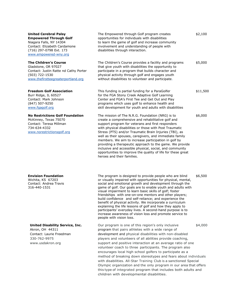### **United Cerebral Palsy Empowered Through Golf**

### **The Children's Course**

### **No Restrictions Golf Foundation**

### **Envision Foundation**

## **United Disability Service, Inc.** Our program is one of this region's only inclusive  $\frac{4,000}{2}$

| <b>United Cerebral Palsy</b><br><b>Empowered Through Golf</b><br>Niagara Falls, NY 14304<br>Contact: Elizabeth Cardamone<br>(716) 297-0798 Ext. 173<br>www.empowered-wny.org | The Empowered through Golf program creates<br>opportunities for individuals with disabilities<br>to learn the game of golf and increase community<br>involvement and understanding of people with<br>disabilities through interaction.                                                                                                                                                                                                                                                                                                                                                                                    | \$2,100  |
|------------------------------------------------------------------------------------------------------------------------------------------------------------------------------|---------------------------------------------------------------------------------------------------------------------------------------------------------------------------------------------------------------------------------------------------------------------------------------------------------------------------------------------------------------------------------------------------------------------------------------------------------------------------------------------------------------------------------------------------------------------------------------------------------------------------|----------|
| <b>The Children's Course</b><br>Gladstone, OR 97027<br>Contact: Justin Ratte nd Cathy Porter<br>(503) 722-1530<br>www.thefirstteegreaterportland.org                         | The Children's Course provides a facility and programs<br>that give youth with disabilities the opportunity to<br>participate in a program that builds character and<br>physical activity through golf and engages youth<br>without disabilities to volunteer and participate.                                                                                                                                                                                                                                                                                                                                            | \$5,000  |
| <b>Freedom Golf Association</b><br>Burr Ridge, IL 60527<br>Contact: Mark Johnson<br>(847) 507-9250<br>www.fgagolf.org                                                        | This funding is partial funding for a ParaGolfer<br>for the FGA Stony Creek Adaptive Golf Learning<br>Center and FGA's First Tee and Get Out and Play<br>programs which uses golf to enhance health and<br>skill development for youth and adults with disabilities                                                                                                                                                                                                                                                                                                                                                       | \$11,500 |
| <b>No Restrictions Golf Foundation</b><br>McKinney, Texas 75070<br>Contact: Teresa Millman<br>734-634-4332<br>www.norestrictionsgolf.org                                     | The mission of The N.R.G. Foundation (NRG) is to<br>create a comprehensive and rehabilitative golf and<br>support program for veterans and first responders<br>with physical disabilities or those with Post Traumatic<br>Stress (PTS) and/or Traumatic Brain Injuries (TBI), as<br>well as their spouses, caregivers, and immediate family<br>members. We aim to increase participation in golf by<br>providing a therapeutic approach to the game. We provide<br>inclusive and accessible physical, social, and community<br>opportunities to improve the quality of life for these great<br>heroes and their families. | \$6,000  |
| <b>Envision Foundation</b><br>Wichita, KS 67203<br>Contact: Andrea Travis<br>316-440-1531                                                                                    | The program is designed to provide people who are blind<br>or visually impaired with opportunities for physical, mental,<br>social and emotional growth and development through the<br>game of golf. Our goals are to enable youth and adults with                                                                                                                                                                                                                                                                                                                                                                        | \$6,500  |

visual impairment to learn basic skills of golf; foster friendships with one-on-one mentors and other players; build confidence and self-reliance; and experience the benefit of physical activity. We incorporate a curriculum explaining the life lessons of golf and how they apply to participants' everyday lives. A second-hand purpose is to increase awareness of vision loss and promote service to people with vision loss.

Akron, OH 44311 program that pairs athletes with a wide range of Contact: Laurie Freedman development and physical disabilities with non-disabled 330-762-9975 players and volunteers of all abilities provide coaching, www.usdakron.org support and positive interaction at an average ratio of one volunteer coach to three participants. The program also encourages local high school golfers to participate as a method of breaking down stereotypes and fears about individuals with disabilities. All-Star Training Club is a sanctioned Special Olympic organization and the only program in our area that offers this type of integrated program that includes both adults and children with developmental disabilities.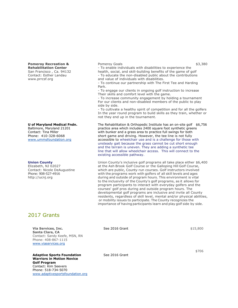# **Pomeroy Recreation &**  Pomeroy Goals **Bullet Community Assets** \$3,380

**Rehabilitation Center** - To enable individuals with disabilities to experience the San Francisco, Ca. 94132 health, social, and skill-building benefits of the game of c San Francisco, Ca. 94132 health, social, and skill-building benefits of the game of golf<br>Contact: Esther Landau external of the game of the non-disabled public about the contributions Contact: Esther Landau - To educate the non-disabled public about the contributions<br>www.prrcsf.org - and value of individuals with disabilities. and value of individuals with disabilities.

> - To continue our partnership with The First Tee and Harding Park.

- To engage our clients in ongoing golf instruction to increase Their skills and comfort level with the game.

- To increase community engagement by holding a tournament For our clients and non-disabled members of the public to play side by side.

- To cultivate a healthy spirit of competition and for all the golfers In the year round program to build skills as they train, whether or not they end up in the tournament.

**U of Maryland Medical Fndn.** The Rehabilitation & Orthopedic Institute has an on-site golf \$6,756 Baltimore, Maryland 21201 practice area which includes 2400 square foot synthetic greens Contact: Tina Miller with bunker and a grass area to practice full swings for both Phone: 410-328-6068 short game and driving. However, the tee line is not fully [www.ummsfoundation.org](http://www.ummsfoundation.org/) accessible to wheelchair use and is a challenge for those with unsteady gait because the grass cannot be cut short enough and the terrain is uneven. They are adding a synthetic tee line that will allow wheelchair access. This will connect to the existing accessible pathway.

**Union County Union County's inclusive golf programs all take place either \$6,400** Elizabeth, NJ 02027 at the Ash Brook Golf Course or the Galloping Hill Golf Course,<br>Contact: Nicole DeAugustine which are public. County-run courses. Golf instructors involved Contact: Nicole DeAugustine which are public, County-run courses. Golf instructors involved<br>Phone: 908-527-4916 with the programs work with golfers of all skill levels and ages with the programs work with golfers of all skill levels and ages http://ucnj.org during and outside of program hours. This environment is vital to the inclusivity of the County's golf programs, as it allows for program participants to interact with everyday golfers and the courses' golf pros during and outside program hours. The developmental golf programs are inclusive and invite all County residents, regardless of skill level, mental and/or physical abilities, or mobility issues to participate. The County recognizes the importance of having participants learn and play golf side by side.

# 2017 Grants

**Via Services, Inc. Santa Clara, CA** Contact: Sandy Keefe, MSN, RN Phone: 408-867-1115 [www.viaservices.org](http://www.viaservices.org/)

**Adaptive Sports Foundation Warriors in Motion Novice Golf Program** Contact: Kim Seevers Phone: 518-734-5070 [www.adaptivesportsfoundation.org](http://www.adaptivesportsfoundation.org/) See 2016 Grant

\$15,800

See 2016 Grant

\$706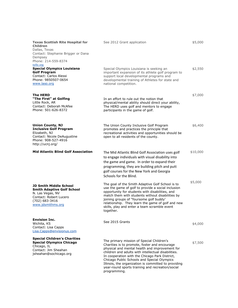| <b>Texas Scottish Rite Hospital for</b><br>Children<br>Dallas, Texas<br>Contact: Stephanie Brigger or Dana<br>Dempsey<br>Phone: 214-559-8374            | See 2012 Grant application                                                                                                                                                                                                                                                                                                                                                                                                       | \$5,000  |
|---------------------------------------------------------------------------------------------------------------------------------------------------------|----------------------------------------------------------------------------------------------------------------------------------------------------------------------------------------------------------------------------------------------------------------------------------------------------------------------------------------------------------------------------------------------------------------------------------|----------|
| tsrhc.org<br><b>Special Olympics Louisiana</b><br><b>Golf Program</b><br>Contact: Carlos Alessi<br>Phone: 9850507-0654<br>www.laso.org                  | Special Olympics Louisiana is seeking an<br>important expansion of its athlete golf program to<br>support local developmental programs and<br>developmental training of Athletes for state and<br>national competition.                                                                                                                                                                                                          | \$2,550  |
| <b>The HERD</b><br>"The First" at Golfing<br>Little Rock, AR<br>Contact: Deborah McAfee<br>Phone: 501-626-8372                                          | In an effort to rule out the notion that<br>physical/mental ability should direct your ability,<br>The HERD uses golf and mentors to engage<br>participants in the game of golf.                                                                                                                                                                                                                                                 | \$7,000  |
| <b>Union County, NJ</b><br><b>Inclusive Golf Program</b><br>Elizabeth, NJ<br>Contact: Nicole DeAugustine<br>Phone: 908-527-4916<br>http://ucnj.org/     | The Union County Inclusive Golf Program<br>promotes and practices the principle that<br>recreational activities and opportunities should be<br>open to all residents of the county.                                                                                                                                                                                                                                              | \$6,400  |
| <b>Mid Atlantic Blind Golf Association</b>                                                                                                              | The Mid Atlantic Blind Golf Association uses golf<br>to engage individuals with visual disability into<br>the game and game. In order to expand their<br>programming, they are building pitch and putt<br>golf courses for the New York and Georgia<br>Schools for the Blind.                                                                                                                                                    | \$10,000 |
| <b>JD Smith Middle School</b><br><b>Smith Adaptive Golf School</b><br>N. Las Vegas, NV<br>Contact: Robert Lucero<br>(702) 683-3416<br>www.jdsmithms.org | The goal of the Smith Adaptive Golf School is to<br>use the game of golf to provide a social inclusion<br>opportunity for students with disabilities, and<br>match them with students without disabilities by<br>joining groups of "foursome golf buddy'<br>relationship. They learn the game of golf and new<br>skills, play and enter a team scramble event<br>together.                                                       | \$5,000  |
| <b>Envision Inc.</b><br>Wichita, KS<br>Contact: Lisa Capps<br>Lisa.Capps@envisionus.com                                                                 | See 2015 Grants                                                                                                                                                                                                                                                                                                                                                                                                                  | \$4,000  |
| <b>Special Children's Charities</b><br><b>Special Olympics Chicago</b><br>Chicago, IL<br>Contact: Jim Sheahan<br>jsheahan@sochicago.org                 | The primary mission of Special Children's<br>Charities is to promote, foster and encourage<br>physical and mental health and improvement for<br>children and adults with intellectual disabilities.<br>In cooperation with the Chicago Park District,<br>Chicago Public Schools and Special Olympics<br>Illinois, the organization is committed to providing<br>year-round sports training and recreation/social<br>programming. | \$7,500  |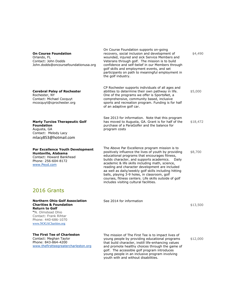| <b>On Course Foundation</b><br>Orlando, FL<br>Contact: John Dodds<br>John.dodds@oncoursefoundationusa.org                                                                                         | On Course Foundation supports on-going<br>recovery, social inclusion and development of<br>wounded, injured and sick Service Members and<br>Veterans through golf. The mission is to build<br>confidence and self-belief in our Members through<br>golf skills and employment events, and set<br>participants on path to meaningful employment in<br>the golf industry.                                                                                                                                                        | \$4,490  |
|---------------------------------------------------------------------------------------------------------------------------------------------------------------------------------------------------|--------------------------------------------------------------------------------------------------------------------------------------------------------------------------------------------------------------------------------------------------------------------------------------------------------------------------------------------------------------------------------------------------------------------------------------------------------------------------------------------------------------------------------|----------|
| <b>Cerebral Palsy of Rochester</b><br>Rochester, NY<br>Contact: Michael Cocquyt<br>mcocquyt@cprochester.org                                                                                       | CP Rochester supports individuals of all ages and<br>abilities to determine their own pathway in life.<br>One of the programs we offer is SportsNet, a<br>comprehensive, community based, inclusive<br>sports and recreation program. Funding is for half<br>of an adaptive golf car.                                                                                                                                                                                                                                          | \$5,000  |
| <b>Marty Turcios Therapeutic Golf</b><br><b>Foundation</b><br>Augusta, GA<br>Contact: Melody Lacy<br>mlacy853@hotmail.com                                                                         | See 2013 for information. Note that this program<br>has moved to Augusta, GA. Grant is for half of the<br>purchase of a ParaGolfer and the balance for<br>program costs                                                                                                                                                                                                                                                                                                                                                        | \$18,472 |
| <b>Par Excellence Youth Development</b><br>Huntsville, Alabama<br>Contact: Howard Bankhead<br>Phone: 256-604-8172<br>www.Peyd.com                                                                 | The Above Par Excellence program mission is to<br>positively influence the lives of youth by providing<br>educational programs that encourages fitness,<br>builds character, and supports academics.<br>Daily<br>academic & life skills including math, science,<br>reading and character development are included<br>aa well as daily/weekly golf skills including hitting<br>balls, playing 3-9 holes, in classroom, golf<br>courses, fitness centers. Life skills outside of golf<br>includes visiting cultural facilities. | \$8,700  |
| 2016 Grants                                                                                                                                                                                       |                                                                                                                                                                                                                                                                                                                                                                                                                                                                                                                                |          |
| <b>Northern Ohio Golf Association</b><br><b>Charities &amp; Foundation</b><br><b>Return to Golf</b><br>"N. Olmstead Ohio<br>Contact: Frank Rihtar<br>Phone: 440-686-1070<br>www.NOGACharities.org | See 2014 for information                                                                                                                                                                                                                                                                                                                                                                                                                                                                                                       | \$13,500 |
| <b>The First Tee of Charleston</b><br>Contact: Meghan Taylor<br>Phone: 843-864-4200<br>www.thefirstteegreatercharleston.org                                                                       | The mission of The First Tee is to impact lives of<br>young people by providing educational programs<br>that build character, instill life-enhancing values<br>and promote healthy choices through the game of<br>golf. The accessible golf program introduces<br>young people in an inclusive program involving<br>youth with and without disabilities.                                                                                                                                                                       | \$12,000 |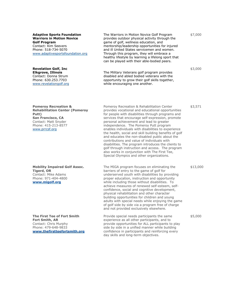**Adaptive Sports Foundation Warriors in Motion Novice Golf Program** Contact: Kim Seevers Phone: 518-734-5070 [www.adaptivesportsfoundation.org](http://www.adaptivesportsfoundation.org/)

**Revelation Golf, Inc Elkgrove, Illinois** Contact: Donna Strum Phone: 630.253.7703 [www.revelationgolf.org](http://www.revelationgolf.org/)

The Warriors in Motion Novice Golf Program provides outdoor physical activity through the game of golf, wellness education, and mentorship/leadership opportunities for injured and ill United States servicemen and women. Through this program, they will embrace a healthy lifestyle by learning a lifelong sport that can be played with their able-bodied peers.

The Military Veterans golf program provides disabled and abled bodied veterans with the opportunity to grow their golf skills together, while encouraging one another.

\$7,000

\$3,000

\$3,571

**Pomeroy Recreation & Rehabilitation Center (Pomeroy Putt) San Francisco, CA** Contact: Matt Snyder Phone: 415-213-8577 [www.prrcsf.org](http://www.prrcsf.org/)

**Mobility Impaired Golf Assoc. Tigerd, OR** Contact: Mike Adams Phone: 971-404-4800 **[www.migolf.org](http://www.migolf.org/)**

**The First Tee of Fort Smith Fort Smith, AR** Contact: Chris Murphy Phone: 479-648-9833 **[www.thefirstteefortsmith.org](http://www.thefirstteefortsmith.org/)**

Pomeroy Recreation & Rehabilitation Center provides vocational and educational opportunities for people with disabilities through programs and services that encourage self-expression, promote personal achievement and lead to greater independence. The Pomeroy Putt program enables individuals with disabilities to experience the health, social and skill building benefits of golf and educates the non-disabled public about the contributions and value of individuals with disabilities. The program introduces the clients to golf through instruction and access. The program also works in conjunction with The First Tee, Special Olympics and other organizations.

The MIGA program focuses on eliminating the barriers of entry to the game of golf for underserved youth with disabilities by providing proper education, instruction and opportunity while including those without disabilities. To achieve measures of renewed self-esteem, selfconfidence, social and cognitive development, physical rehabilitation and other character building opportunities for children and young adults with special needs while enjoying the game of golf side by side via a program free of charge and not provided exclusively elsewhere.

Provide special needs participants the same experience as all other participants, and to provide opportunities for ALL participants to play side by side in a unified manner while building confidence in participants and reinforcing every day skills and long-term objectives.

\$13,000

\$5,000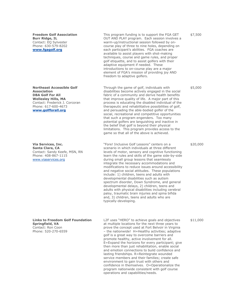**Freedom Golf Association Burr Ridge, IL** Contact: EQ Sylvester Phone: 630-579-8202 **[www.fgagolf.org](http://www.fgagolf.org/)**

**Northeast Accessible Golf Association DBA Golf For All Wellesley Hills, MA** Contact: Frederick J. Corcoran Phone: 617-600-4673 **[www.golfforall.org](http://www.golfforall.org/)**

**Via Services, Inc. Santa Clara, CA** Contact: Sandy Keefe, MSN, RN Phone: 408-867-1115 [www.viaservices.org](http://www.viaservices.org/)

This program funding is to support the FGA GET OUT AND PLAY program. Each session involves a warm-up/instructional session followed by oncourse play of three to nine holes, depending on each participant's abilities. FGA coaches are available to assist players with shot-making techniques, course and game rules, and proper golf etiquette, and to assist golfers with their adaptive equipment if needed. These introductions to on-course play are a major element of FGA's mission of providing joy AND freedom to adaptive golfers.

Through the game of golf, individuals with disabilities become actively engaged in the social fabric of a community and derive health benefits that improve quality of life. A major part of this process is educating the disabled individual of the therapeutic and rehabilitative possibilities of golf, and persuading the able-bodied golfer of the social, recreational and competitive opportunities that such a program engenders. Too many potential golfers are languishing and inactive in the belief that golf is beyond their physical limitations. This program provides access to the game so that all of the above is achieved.

"Fore! Inclusive Golf Lessons" centers on a scenario in which individuals at three different levels of motor, sensory and cognitive functioning learn the rules and skills of the game side-by-side during small group lessons that seamlessly integrate the necessary accommodations and modifications to reduce issues around accessibility and negative social attitudes. These populations include: 1) children, teens and adults with developmental disabilities such as autism spectrum disorder, Down Syndrome, and general developmental delays, 2) children, teens and adults with physical disabilities including cerebral palsy, traumatic brain injuries and spina bifida and, 3) children, teens and adults who are typically-developing.

**Links to Freedom Golf Foundation Springfield, VA** Contact: Ron Coon Phone: 520-270-6559

L2F uses "HERO" to achieve goals and objectives at multiple locations for the next three years to prove the concept used at Fort Belvoir in Virginia – the nationwide! H=Healthy activities; adaptive golf is a great way to overcome barriers and promote healthy, active involvement for all. E=Expand the horizons for every participant; give then more than just rehabilitation, enable social and emotion connections to build confidence and lasting friendships. R=Reintegrate wounded service members and their families; create safe environment to gain trust with others and confidence in themselves. O=Operationalize the program nationwide consistent with golf course operations and capabilities/needs.

\$7,500

\$5,000

\$20,000

\$11,000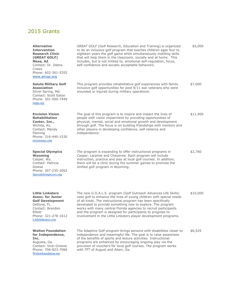# 2015 Grants

| <b>Alternative</b><br><b>Intervention</b><br><b>Research Clinic</b><br>(GREAT GOLF)<br>Mesa, AZ<br>Contact: Dr. Debra<br>Crews<br>Phone: 602-361-5355                       | GREAT GOLF (Golf Research, Education and Training) is organized<br>to be an inclusive golf program that teaches children ages four to<br>eighteen years the golf game while simultaneously instilling skills<br>that will help them in the classroom, socially and at home. This<br>includes, but is not limited to, emotional self-regulation, focus,<br>self-confidence and socially acceptable behaviors.                                                                 | \$5,000  |
|-----------------------------------------------------------------------------------------------------------------------------------------------------------------------------|------------------------------------------------------------------------------------------------------------------------------------------------------------------------------------------------------------------------------------------------------------------------------------------------------------------------------------------------------------------------------------------------------------------------------------------------------------------------------|----------|
| www.aircaz.org<br><b>Salute Military Golf</b><br><b>Association</b><br>Silver Spring, Md.<br>Contact: Scott Eaton<br>Phone: 301-500-7449<br>smga.org                        | This program provides rehabilitative golf experiences with family<br>inclusive golf opportunities for post 9/11 war veterans who were<br>wounded or injured during military operations.                                                                                                                                                                                                                                                                                      | \$7,000  |
| <b>Envision Vision</b><br><b>Rehabilitation</b><br>Center, Inc.,<br>Wichita, Ks.<br>Contact: Mandy<br>Fleming<br>Phone: 316-440-1530<br>envisionus.com                      | The goal of this program is to inspire and impact the lives of<br>people with vision impairment by providing opportunities of<br>physical, mental, social and emotional growth and development<br>through golf. The focus is on building friendships with mentors and<br>other players in developing confidence, self-reliance and<br>independence.                                                                                                                          | \$11,400 |
| <b>Special Olympics</b><br>Wyoming<br>Casper, Wy.<br>Contact: Patricia<br>Dowse<br>Phone: 307-235-3062<br>Specialolympicswy.org                                             | The program is expanding to offer instructional programs in<br>Casper, Laramie and Cheyenne. Each program will include<br>instruction, practice and play at local golf courses. In addition,<br>there will be a clinic during the summer games to promote the<br>Unified golf program in Wyoming.                                                                                                                                                                            | \$2,760  |
| <b>Little Linksters</b><br><b>Assoc. for Junior</b><br><b>Golf Development</b><br>Deltona, FL.<br>Contact: Brendon<br>Elliott<br>Phone: 321-278-1612<br>Littlelinksters.com | The new G.O.A.L.S. program (Golf Outreach Advances Life Skills)<br>uses golf to enhance the lives of young children with special needs<br>of all kinds. The instructional program has been specifically<br>developed to provide something new to explore. The program<br>works with many central Florida agencies to recruit participants<br>and the program is designed for participants to progress to<br>involvement in the Little Linksters player development programs. | \$10,000 |
| <b>Walton Foundation</b><br>for Independence,<br>Inc.<br>Augusta, Ga.<br>Contact: Vicki Greene<br>Phone: 706-823-7066<br>Waltonfoundation.net                               | The Adaptive Golf program brings persons with disabilities closer to<br>independence and meaningful life. The goal is to raise awareness<br>of the benefits of sports and leisure activities. Instructional<br>programs are enhanced by encouraging ongoing play via the<br>provision of vouchers for local golf courses. The program works<br>with TFT of August and Aiken, Ga.                                                                                             | \$6,525  |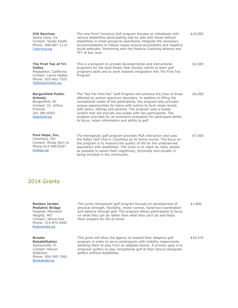| <b>VIA Services</b><br>Santa Clara, Ca.<br>Contact: Sandy Keefe<br>Phone: 408-867-1115<br>Viaservices.org                                    | The new Fore! Inclusive Golf program focuses on individuals with<br>various disabilities participating side by side with those without<br>disabilities in small groups to seamlessly integrate the necessary<br>accommodations to reduce issues around accessibility and negative<br>social attitudes. Partnering with the Positive Coaching Alliance and<br>TFT of San Jose.                                                                                                                                                                | \$16,000 |
|----------------------------------------------------------------------------------------------------------------------------------------------|----------------------------------------------------------------------------------------------------------------------------------------------------------------------------------------------------------------------------------------------------------------------------------------------------------------------------------------------------------------------------------------------------------------------------------------------------------------------------------------------------------------------------------------------|----------|
| The First Tee of Tri-<br><b>Valley</b><br>Pleasanton, California<br>Contact: Laura Hadley<br>Phone: 925-462-7201<br>Thefirstteetrivalley.org | This is a program to provide developmental and instructional<br>programs for the local Easter Seal Society clients to learn golf<br>programs skills and to work towards integration into The First Tee<br>Program                                                                                                                                                                                                                                                                                                                            | \$2,000  |
| <b>Bergenfield Public</b><br><b>Schools</b><br>Bergenfield, NJ<br>Contact: Dr. Arthur<br>Frieman<br>201 385-8202<br>bergenfield.org          | The "Not Far from Par" Golf Program will enhance the lives of those<br>affected by autism spectrum disorders. In addition to filling the<br>recreational needs of the participants, the program also provides<br>unique opportunities for teens with autism to form closer bonds<br>with peers, siblings and parents. The program uses a buddy<br>system that will provide one buddy with two participants. The<br>program provides for an extensive evaluation for participant ability<br>to focus, retain information and ability to golf. | \$5,000  |
| Fore Hope, Inc.<br>Columbus, OH.<br>Contact: Mindy Derr <b<br>Phone 614-499-6287</b<br>                                                      | The therapeutic golf program provides PGA instruction and uses<br>the Safari Golf Club in Columbus as its home course. The focus on<br>the program is to improve the quality of life for the underserved<br>population with disabilities. The vision is to reach as many people                                                                                                                                                                                                                                                              | \$7,500  |

as possible to assist them cognitively, physically and socially in

being included in the community.

2014 Grants

forehope.org

**Ranken Jordan** 

**Pediatric Bridge**  Hospital, Maryland Heights, MO Contact: Janine Roe Phone: 314-872-6481 [Rankenjorden.org](http://rankenjorden.org/)

**Brooks** 

**Rehabilitation**  Jacksonville, Fl. Contact: Marion Anderson Phone: 904-345-7481 [Brookshealth.org](http://brookshealth.org/)

This junior therapeutic golf program focuses on development of physical strength, flexibility, motor control, hand-eye coordination and balance through golf. The program allows participants to focus on what they can do rather than what they can't do and helps them prepare for life at home. \$1,800

This grant will allow the agency to expand their adaptive golf program in order to serve participants with mobility impairments allowing them to play from an adapted device. A primary goal is to empower golfers to play recreational golf at their leisure alongside golfers without disabilities. \$16,970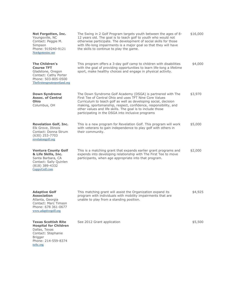| Not Forgotten, Inc.<br>Youngsville, NC<br>Contact: Peggie M.<br>Simpson<br>Phone: 919240-9121<br>Not4gotteninc.net                                   | The Swing in 2 Golf Program targets youth between the ages of 8-<br>12 years old. The goal is to teach golf to youth who would not<br>otherwise participate. The development of social skills for those<br>with life-long impairments is a major goal so that they will have<br>the skills to continue to play the game.                                                        | \$16,000 |
|------------------------------------------------------------------------------------------------------------------------------------------------------|---------------------------------------------------------------------------------------------------------------------------------------------------------------------------------------------------------------------------------------------------------------------------------------------------------------------------------------------------------------------------------|----------|
| <b>The Children's</b><br><b>Course TFT</b><br>Gladstone, Oregon<br>Contact: Cathy Porter<br>Phone: 503-805-0500<br>The first teegreater portland.org | This program offers a 3-day golf camp to children with disabilities<br>with the goal of providing opportunities to learn life-long a lifetime<br>sport, make healthy choices and engage in physical activity.                                                                                                                                                                   | \$4,000  |
| <b>Down Syndrome</b><br><b>Assoc. of Central</b><br>Ohio<br>Columbus, OH                                                                             | The Down Syndrome Golf Academy (DSGA) is partnered with The<br>First Tee of Central Ohio and uses TFT Nine Core Values<br>Curriculum to teach golf as well as developing social, decision<br>making, sportsmanship, respect, confidence, responsibility, and<br>other values and life skills. The goal is to include those<br>participating in the DSGA into inclusive programs | \$3,970  |
| <b>Revelation Golf, Inc.</b><br>Elk Grove, Illinois<br>Contact: Donna Strum<br>$(630)$ 253-7703<br>revelationgolf.org                                | This is a new program for Revelation Golf. This program will work<br>with veterans to gain independence to play golf with others in<br>their community.                                                                                                                                                                                                                         | \$5,000  |
| <b>Ventura County Golf</b><br>& Life Skills, Inc.<br>Santa Barbara, CA<br>Contact: Sally Quinlen<br>$(818)$ 389-4332<br>GuppyGolf.com                | This is a matching grant that expands earlier grant programs and<br>expends into developing relationship with The First Tee to move<br>participants, when age appropriate into that program.                                                                                                                                                                                    | \$2,000  |
| <b>Adaptive Golf</b><br><b>Association</b><br>Atlanta, Georgia<br>Contact: Marc Timson<br>Phone: 678 361-0677<br>www.adaptivegolf.org                | This matching grant will assist the Organization expand its<br>program with individuals with mobility impairments that are<br>unable to play from a standing position.                                                                                                                                                                                                          | \$4,925  |
| <b>Texas Scottish Rite</b><br><b>Hospital for Children</b><br>Dallas, Texas<br>Contact: Stephanie<br><b>Brigger</b><br>Phone: 214-559-8374           | See 2012 Grant application                                                                                                                                                                                                                                                                                                                                                      | \$5,500  |

[tsrhc.org](http://www.tsrhc.org/)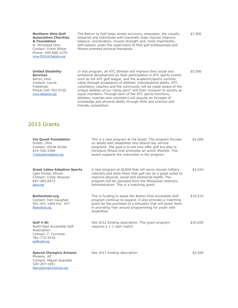**Northern Ohio Golf Association Charities & Foundation** N. Olmstead Ohio Contact: Frank Rihtar Phone: 440-686-1070 [www.NOGACharities.org](http://www.nogacharities.org/)

**United Disability Services** Akron, Ohio Contact: Laurie Freedman Phone:330-762-9755 [www.udsakron.org](http://www.udsakron.org/)

The Return to Golf helps stroke survivors, amputees, the visually impaired and individuals with traumatic brain injuries Improve balance, coordination, muscle strength and, most importantly, self-esteem under the supervision of PGA golf professionals and fitness-oriented physical therapists.

In this program, all ATC athletes will improve their social and emotional development by their participation in ATC sports events such as the ATC golf league; and the academic/sports summer camp through acceptance of athletes' individualized ability. ATC volunteers, coaches and the community will be made aware of the unique abilities of our rising stars" and their inclusion to society as equal members. Through each of the ATC sports functions, athletes, coaches and volunteers will acquire an increase of knowledge and physical ability through drills and practice and

friendly competition

\$7,500

\$5,000

2013 Grants

| <b>Via Quest Foundation</b><br>Dublin, Ohio<br>Contact: Derek Kinzer<br>614-526-2384<br>ViaQuestFoundation.org          | This is a new program at Via Quest. The program focuses<br>on adults with disabilities who attend day service<br>programs. The goal is to not only offer golf but also to<br>introduce fitness that promotes an active lifestyle. This<br>award supports the instruction in the program. | \$5,000  |
|-------------------------------------------------------------------------------------------------------------------------|------------------------------------------------------------------------------------------------------------------------------------------------------------------------------------------------------------------------------------------------------------------------------------------|----------|
| <b>Great Lakes Adaptive Sports</b><br>Lake Forest, Illinois<br>Contact: Cindy Housner<br>847-283-0973<br>glasa.org      | A new program at GLASA that will serve injured military<br>veterans and show them that golf can be a great outlet to<br>improve physical, social and emotional health. The<br>program will be operated from the Milwaukee Veterans<br>Administration. This is a matching grant.          | \$2,016  |
| <b>Buttonhole.org</b><br>Contact: Dan Gaughan<br>401-421-1664 Ext. 107<br>Buttonhole.org                                | This is funding to assist the Button Hole Accessible Golf<br>program continue to expand. It also provides a matching<br>grant for the purchase of a simulator that will assist them<br>in providing Year around programming for youth with<br>disabilities.                              | \$10,510 |
| Golf 4 All<br>North East Accessible Golf<br>Association<br>Contact: F. Corcoran<br>781-772-2016<br>golfforall.org       | See 2012 funding description. This grant program<br>requires a 1:1 cash match.                                                                                                                                                                                                           | \$10,000 |
| <b>Special Olympics Arizona</b><br>Phoenix, AZ<br>Contact: Miguel Quezada<br>520-207-1691<br>SpecialolympicsArizona.org | See 2011 funding description                                                                                                                                                                                                                                                             | \$2,500  |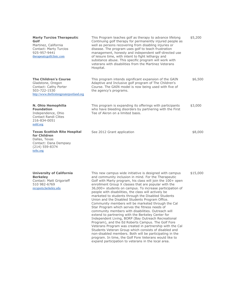| <b>Marty Turcios Therapeutic</b><br>Golf<br>Martinez, California<br>Contact: Marty Turcios<br>925-957-9441<br>therapeuticgolfclinic.com | This Program teaches golf as therapy to advance lifelong<br>Continuing golf therapy for permanently injured people as<br>well as persons recovering from disabling injuries or<br>disease. The program uses golf to teach frustration<br>management, honesty and independent self-directed use<br>of leisure time, with intent to fight lethargy and<br>substance abuse. This specific program will work with<br>veterans with disabilities from the Martinez Veterans<br>Hospital. | \$5,200 |
|-----------------------------------------------------------------------------------------------------------------------------------------|-------------------------------------------------------------------------------------------------------------------------------------------------------------------------------------------------------------------------------------------------------------------------------------------------------------------------------------------------------------------------------------------------------------------------------------------------------------------------------------|---------|
| <b>The Children's Course</b><br>Gladstone, Oregon<br>Contact: Cathy Porter<br>503-722-1530<br>http://www.thefirstteegreaterportland.org | This program intends significant expansion of the GAIN<br>Adaptive and Inclusive golf program of The Children's<br>Course. The GAIN model is now being used with five of<br>the agency's programs.                                                                                                                                                                                                                                                                                  | \$6,500 |
| N. Ohio Hemophilia<br><b>Foundation</b><br>Independence, Ohio<br>Contact Randi Clites<br>216-834-0051<br>nohf.org                       | This program is expanding its offerings with participants<br>who have bleeding disorders by partnering with the First<br>Tee of Akron on a limited basis.                                                                                                                                                                                                                                                                                                                           | \$3,000 |
| <b>Texas Scottish Rite Hospital</b><br>for Children<br>Dallas, Texas<br>Contact: Dana Dempsey<br>$(214)$ 559-8374<br>tsrhc.org          | See 2012 Grant application                                                                                                                                                                                                                                                                                                                                                                                                                                                          | \$8,000 |

| <b>University of California</b> |
|---------------------------------|
| <b>Berkeley</b>                 |
| Contact: Matt Grigorieff        |
| 510 982-6769                    |
| recsports.berkeley.edu          |

This new campus wide initiative is designed with campus and community inclusion in mind. For the Therapeutic Golf with Marty program, his class will join the 100+ open enrollment Group X classes that are popular with the 36,000+ students on campus. To increase participation of people with disabilities, the class will actively be marketed to students through the Disabled Students Union and the Disabled Students Program Office. Community members will be marketed through the Cal Star Program which serves the fitness needs of community members with disabilities. Outreach will extend to partnering with the Berkeley Center for Independent Living, BORP (Bay Outreach Recreational Program), and the Ed Roberts Campus. The Golf Fore Veterans Program was created in partnership with the Cal Students Veteran Group which consists of disabled and non-disabled members. Both will be participating in the program. In time, the Golf Fore Veterans would like to expand participation to veterans in the local area.

\$15,000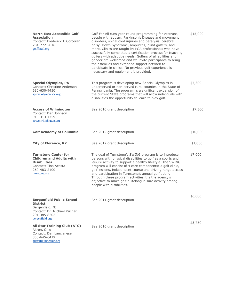| <b>North East Accessible Golf</b><br><b>Association</b><br>Contact: Frederick J. Corcoran<br>781-772-2016<br>golfforall.org                    | Golf For All runs year-round programming for veterans,<br>people with autism, Parkinson's Disease and movement<br>disorders, spinal cord injuries and paralysis, cerebral<br>palsy, Down Syndrome, amputees, blind golfers, and<br>more. Clinics are taught by PGA professionals who have<br>successfully completed a certification process for teaching<br>golfers with adaptive needs. Golfers of all abilities and<br>gender are welcomed and we invite participants to bring<br>their families and extended support network to<br>participate in clinics. No previous golf experience is<br>necessary and equipment is provided. | \$15,000 |
|------------------------------------------------------------------------------------------------------------------------------------------------|--------------------------------------------------------------------------------------------------------------------------------------------------------------------------------------------------------------------------------------------------------------------------------------------------------------------------------------------------------------------------------------------------------------------------------------------------------------------------------------------------------------------------------------------------------------------------------------------------------------------------------------|----------|
| <b>Special Olympics, PA</b><br>Contact: Christine Anderson<br>610-630-9450<br>specialolympicspa.org                                            | This program is developing new Special Olympics in<br>underserved or non-served rural counties in the State of<br>Pennsylvania. The program is a significant expansion of<br>the current State programs that will allow individuals with<br>disabilities the opportunity to learn to play golf.                                                                                                                                                                                                                                                                                                                                      | \$7,300  |
| <b>Access of Wilmington</b><br>Contact: Dan Johnson<br>910-313-1759<br>accesswilmington.org                                                    | See 2010 grant description                                                                                                                                                                                                                                                                                                                                                                                                                                                                                                                                                                                                           | \$7,500  |
| <b>Golf Academy of Columbia</b>                                                                                                                | See 2012 grant description                                                                                                                                                                                                                                                                                                                                                                                                                                                                                                                                                                                                           | \$10,000 |
| <b>City of Florence, KY</b>                                                                                                                    | See 2012 grant description                                                                                                                                                                                                                                                                                                                                                                                                                                                                                                                                                                                                           | \$1,000  |
| <b>Turnstone Center for</b><br><b>Children and Adults with</b><br><b>Disabilities</b><br>Contact: Tina Acosta<br>260-483-2100<br>turnstone.org | The goal of Turnstone's SWING program is to introduce<br>persons with physical disabilities to golf as a sports and<br>leisure activity to support a healthy lifestyle. The SWING<br>program will consist of 4 core components: a golf clinic,<br>golf lessons, independent course and driving range access<br>and participation in Turnstone's annual golf outing.<br>Through these program activities it is the agency's<br>objective to make golf a lifelong leisure activity among<br>people with disabilities.                                                                                                                  | \$7,000  |
| <b>Bergenfield Public School</b><br><b>District</b><br>Bergenfield, NJ<br>Contact: Dr. Michael Kuchar<br>201-385-8202<br>bergenfield.org       | See 2011 grant description                                                                                                                                                                                                                                                                                                                                                                                                                                                                                                                                                                                                           | \$6,000  |
| <b>All Star Training Club (ATC)</b><br>Akron, Ohio<br>Contact: Dan Lancianese                                                                  | See 2010 grant description                                                                                                                                                                                                                                                                                                                                                                                                                                                                                                                                                                                                           | \$3,750  |

330-645-6419 [allstartrainingclub.org](http://www.accessgolf.org/grants/allstartrainingclub.org)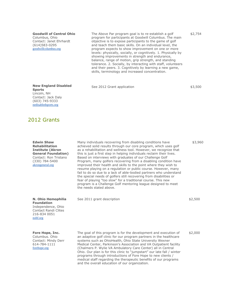### **Goodwill of Central Ohio**

Columbus, Ohio Contact: Janet Ehrhardt (614)583-0295 [goodwillcolumbus.org](http://goodwillcolumbus.org/)

The Above Par program goal is to re-establish a golf program for participants at Goodwill Columbus. The main objective is to expose participants to the game of golf and teach them basic skills. On an individual level, the program expects to show improvement on one or more levels: physically, socially, or cognitively. 1. Physically by showing improvements in strength and endurance, balance, range of motion, grip strength, and standing tolerance. 2. Socially, by interacting with staff, volunteers and their peers. 3. Cognitively by learning a new game, skills, terminology and increased concentration.

See 2012 Grant application

\$3,500

\$2,754

### **New England Disabled Sports** Lincoln, NH Contact: Jack Daly (603) 745-9333 [nedisabledsports.org](http://nedisabledsports.org/)

# 2012 Grants

| <b>Edwin Shaw</b><br><b>Rehabilitation</b><br><b>Institute (Akron</b><br><b>General Foundation)</b><br>Contact: Ron Tristano<br>(330) 784-5400<br>akrongeneral.org | Many individuals recovering from disabling conditions have<br>achieved solid results through our core program, which uses golf<br>as a rehabilitation and wellness tool. However, we recognize that<br>this is just a first step in helping individuals reclaim their lives.<br>Based on interviews with graduates of our Challenge Golf<br>Program, many golfers recovering from a disabling condition have<br>improved their health and skills to the point where they wish to<br>resume playing on a regulation or public course. However, many<br>fail to do so due to a lack of able-bodied partners who understand<br>the special needs of golfers still recovering from disabilities or<br>fear of playing "too slow" for a traditional course. This new<br>program is a Challenge Golf mentoring league designed to meet<br>the needs stated above. | \$3,960 |
|--------------------------------------------------------------------------------------------------------------------------------------------------------------------|-------------------------------------------------------------------------------------------------------------------------------------------------------------------------------------------------------------------------------------------------------------------------------------------------------------------------------------------------------------------------------------------------------------------------------------------------------------------------------------------------------------------------------------------------------------------------------------------------------------------------------------------------------------------------------------------------------------------------------------------------------------------------------------------------------------------------------------------------------------|---------|
| N. Ohio Hemophilia<br><b>Foundation</b><br>Independence, Ohio<br>Contact Randi Clites<br>216-834 0051<br>nohf.org                                                  | See 2011 grant description                                                                                                                                                                                                                                                                                                                                                                                                                                                                                                                                                                                                                                                                                                                                                                                                                                  | \$2,500 |
| Fore Hope, Inc.<br>Columbus, Ohio<br>Contact: Mindy Derr<br>614-784-1111<br>forehope.org                                                                           | The goal of this program is for the development and execution of<br>an adaptive golf clinic for our program partners in the healthcare<br>systems such as OhioHealth, Ohio State University Wexner<br>Medical Center, Parkinson's Association and VA Outpatient facility<br>(Chalmers P. Wylie VA Ambulatory Care Center) all in Central<br>Ohio. Our plan is for this clinic to "jumpstart" our late fall / winter<br>programs through introductions of Fore Hope to new clients /<br>medical staff regarding the therapeutic benefits of our programs<br>and the overall education of our organization.                                                                                                                                                                                                                                                   | \$2,000 |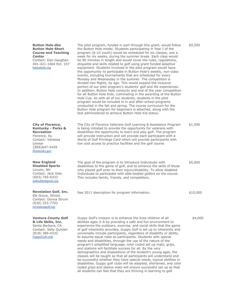### **Button Hole dba Button Hole Short Course and Teaching Center**

Contact: Dan Gaughan 401-421-1664 Ext. 107 [buttonhole.org](http://buttonhole.org/)

**City of Florence, Kentucky - Parks & Recreation** Florence, Ky Contact: Vanessa Lenear {859)647-5439 [florenceky.gov](http://florenceky.gov/)

**New England Disabled Sports** Lincoln, NH Contact: Jack Daly (603) 745-9333 [nedisabledsports.org](http://nedisabledsports.org/)

### **Revelation Golf, Inc.** Elk Grove, Illinois Contact: Donna Strum (630) 253-7703 [revelationgolf.org](http://revelationgolf.org/)

### **Ventura County Golf & Life Skills, Inc.** Santa Barbara, CA

Contact: Sally Quinlen (818) 389-4332 [GuppyGolf.com](http://guppygolf.com/)

| The pilot program, funded in part through this grant, would follow<br>the Button Hole model. Students participating in Year I of the<br>program (6-10 youth) would be scheduled for six classes, one a<br>week for six weeks, during the summer break. Each class would<br>be 90 minutes in length and would cover the rules, regulations,<br>etiquette and skills related to golf using grant funded adaptive<br>equipment. Students involved in the pilot program would have<br>the opportunity to participate in Button Hole's weekly, non-class<br>events, including tournaments that are scheduled for every<br>Monday and Wednesday in the summer. The competition is<br>divided into flights, by age. This would expand the inclusive<br>portion of our pilot program's students' golf and life experiences.<br>In addition, Button Hole conducts and end of the year competition<br>for all Button Hole Kids, culminating in the awarding of the Button<br>Hole Cup. As with all of our students, students in the pilot<br>program would be included in in and after-school programs<br>conducted in the fall and spring. The course curriculum for the<br>Button Hole program for beginners is attached, along with the<br>test administered to achieve Button Hole Kid status. |
|------------------------------------------------------------------------------------------------------------------------------------------------------------------------------------------------------------------------------------------------------------------------------------------------------------------------------------------------------------------------------------------------------------------------------------------------------------------------------------------------------------------------------------------------------------------------------------------------------------------------------------------------------------------------------------------------------------------------------------------------------------------------------------------------------------------------------------------------------------------------------------------------------------------------------------------------------------------------------------------------------------------------------------------------------------------------------------------------------------------------------------------------------------------------------------------------------------------------------------------------------------------------------------------|
|                                                                                                                                                                                                                                                                                                                                                                                                                                                                                                                                                                                                                                                                                                                                                                                                                                                                                                                                                                                                                                                                                                                                                                                                                                                                                          |

The City of Florence Veterans Golf Learning & Assistance Program is being initiated to provide the opportunity for veterans with disabilities the opportunity to learn and play golf. The program will provide instruction and will provide each participant with a World of Golf Privilege Card which will provide participants with low cost access to practice facilities and the golf course. \$1,500

The goal of the program is to Introduce Individuals with disabilities to the game of golf, and to enhance the skills of those who played golf prior to their injury/disability. To allow disabled Individuals to participate with able-bodied golfers on the course. This includes family, friends, and competitors.

See 2011 description for program information.

\$10,000

\$5,000

\$9,500

\$4,000

Guppy Golf's mission is to enhance the lives children of all abilities ages 3–6 by providing a safe and fun environment to experience the outdoors, exercise, and social skills that the game of golf inherently provides. Guppy Golf is set up to inherently and universally include participants, regardless of disability or ability, to assume equal roles as participants. Students with special needs and disabilities, through the use of the nature of the program's simplified language, color coded set up mats, grips, and stations will facilitate success for all. By the very demographics and dispositions of the student's young ages, the classes will be taught so that all participants will understand and be successful whether they have special needs, typical abilities or disabilities. Guppy golf clubs will be adapted, shortened, and color coded grips and stance mats will ensure successful set up so that all students can feel that they are thriving in learning to golf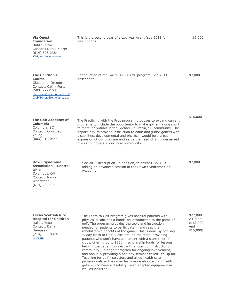| <b>Via Quest</b><br><b>Foundation</b><br>Dublin, Ohio<br>Contact: Derek Kinzer<br>$(614) 526 - 2384$<br>ViaQuestFoundation.org                                         | This is the second year of a two year grant (see 2011 for<br>description)                                                                                                                                                                                                                                                                                                                                                                                | \$9,000  |
|------------------------------------------------------------------------------------------------------------------------------------------------------------------------|----------------------------------------------------------------------------------------------------------------------------------------------------------------------------------------------------------------------------------------------------------------------------------------------------------------------------------------------------------------------------------------------------------------------------------------------------------|----------|
| <b>The Children's</b><br><b>Course</b><br>Gladstone, Oregon<br>Contact: Cathy Porter<br>(503) 722-153<br>thefirstteegreaterportland.org/<br>Club/Scripts/Home/home.asp | Continuation of the GAIN GOLF CAMP program. See 2011<br>description                                                                                                                                                                                                                                                                                                                                                                                      | \$7,000  |
| <b>The Golf Academy of</b><br><b>Columbia</b><br>Columbia, SC<br>Contact: Courtney<br>Young<br>(803) 414-0444                                                          | The Practicing with the Pros program proposes to expand current<br>programs to include the opportunity to make golf a lifelong sport<br>to more individuals in the Greater Columbia, SC community. The<br>opportunity to provide instruction to adult and junior golfers with<br>disabilities, developmental and physical, would be a great<br>expansion of our program and serve the need of an underserved<br>market of golfers in our local community | \$16,000 |
| <b>Down Syndrome</b><br><b>Association - Central</b><br><b>Ohio</b><br>Columbus, OH<br>Contact: Nancy<br>Whetstone<br>$(614)$ 2636020                                  | See 2011 description. In addition, this year DSACO is<br>adding an advanced session of the Down Syndrome Golf<br>Academy                                                                                                                                                                                                                                                                                                                                 | \$7,000  |

**Texas Scottish Rite Hospital for Children** Dallas, Texas Contact: Dana Dempsey (214) 559-8374 [tsrhc.org](http://tsrhc.org/)

The Learn to Golf program gives hospital patients with physical disabilities a hands-on introduction to the game of golf. The program provides the tools and instruction needed for patients to participate in and reap the rehabilitative benefits of the game. This is done by offering Y, day learn to Golf Clinics around the state, providing patients who don't have equipment with a starter set of clubs, offering up to \$250 in scholarship funds for lessons helping the patient connect with a local golf instructor or community junior golf program for ongoing involvement, and annually providing a one day seminar called Tee Up for Teaching for golf instructors and allied health care professionals so they may learn more about working with golfers who have a disability, need adapted equipment as well as inclusion.

\$27,000 2 Grants (\$12,000 And \$15,000)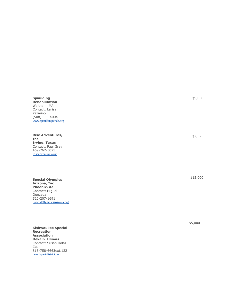**Spaulding Rehabilitation** Waltham, MA Contact: Larisa Pazmino (508) 833 -4004 [www.spauldingrehab.org](http://www.spauldingrehab.org/) ..

 $\epsilon$ 

l,

**Rise Adventures, Inc. Irving, Texas** Contact: Paul Gray 469 -762 -5075 [Riseadventures.org](http://riseadventures.org/)

**Special Olympics Arizona, Inc. Phoenix, AZ** Contact: Miguel Quezada 520 -207 -1691 [SpecialOlympicsArizona.org](http://specialolympicsarizona.org/)

**Kishwaukee Special Recreation Association Dekalb, Illinois** Contact: Susan Dolaz Zeeh 815 -758 -6663ext.122 [dekalbparkdistrict.com](http://dekalbparkdistrict.com/)

\$9,000

\$2,525

\$15,000

\$5,000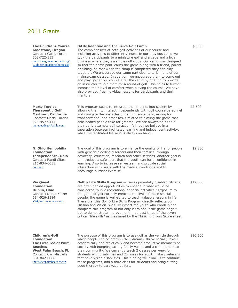# 2011 Grants

Contact: Carl Mistrella 561-842-0066 [thefirstteepalmbeaches.org](http://thefirstteepalmbeaches.org/)

| <b>The Childrens Course</b><br>Gladstone, Oregon<br>Contact: Cathy Porter<br>503-722-153<br>thefirstteegreaterportland.org/<br>Club/Scripts/Home/home.asp | <b>GAIN Adaptive and Inclusive Golf Camp.</b><br>The camp consists of both golf activities at our course and<br>inclusion activities to different venues. In our previous camp we<br>took the participants to a miniature golf and arcade and a local<br>business where they assemble golf clubs. Our camp was designed<br>so that the participant learns the game along with a friend, parent<br>or sibling, so that when the camp is completed they can play<br>together. We encourage our camp participants to join one of our<br>mainstream classes. In addition, we encourage them to come out<br>and play golf at our course after the camp by offering to provide<br>an instructor to join them for a round of golf. This helps to further<br>increase their level of comfort when playing the course. We have<br>also provided free individual lessons for participants and their<br>mentors. | \$6,500  |
|-----------------------------------------------------------------------------------------------------------------------------------------------------------|-------------------------------------------------------------------------------------------------------------------------------------------------------------------------------------------------------------------------------------------------------------------------------------------------------------------------------------------------------------------------------------------------------------------------------------------------------------------------------------------------------------------------------------------------------------------------------------------------------------------------------------------------------------------------------------------------------------------------------------------------------------------------------------------------------------------------------------------------------------------------------------------------------|----------|
| <b>Marty Turcios</b><br><b>Therapeutic Golf</b><br><b>Martinez, California</b><br>Contact: Marty Turcios<br>925-957-9441<br>therapeuticgolfclinic.com     | This program seeks to integrate the students into society by<br>allowing them to interact independently with golf course personnel<br>and navigate the obstacles of getting range balls, asking for<br>transportation, and other tasks related to playing the game that<br>able-bodied people take for granted. We are always on hand if<br>their early attempts at interaction fail, but we believe in a<br>separation between facilitated learning and independent activity,<br>while the facilitated learning is always on hand.                                                                                                                                                                                                                                                                                                                                                                   | \$2,500  |
| N. Ohio Hemophilia<br><b>Foundation</b><br><b>Independence, Ohio</b><br>Contact: Randi Clites<br>216-834-0051<br>nohf.org                                 | The goal of this program is to enhance the quality of life for people<br>with genetic bleeding disorders and their families, through<br>advocacy, education, research and other services. Another goal is<br>to introduce a safe sport that the youth can build confidence in<br>learning. Also to increase self-esteem and provide social<br>interaction with peers with the medical conditions and to<br>encourage outdoor exercise.                                                                                                                                                                                                                                                                                                                                                                                                                                                                | \$2,830  |
| <b>Via Quest</b><br><b>Foundation</b><br>Dublin, Ohio<br>Contact: Derek Kinzer<br>614-526-2384<br>ViaQuestFoundation.org                                  | Golf & Life Skills Program - Developmentally disabled citizens<br>are often denied opportunities to engage in what would be<br>considered "public recreational or social activities." Exposure to<br>the game of golf not only enriches the lives of these special<br>people, the game is well-suited to teach valuable lessons in life.<br>Therefore, this Golf & Life Skills Program directly reflects our<br>Mission and Vision. We fully expect the youth who enroll in and<br>complete this program to not only learn about the game of golf,<br>but to demonstrate improvement in at least three of the seven<br>critical "life skills" as measured by the Thinking Errors Score sheet.                                                                                                                                                                                                         | \$12,000 |
| <b>Children's Golf</b><br><b>Foundation</b><br><b>The First Tee of Palm</b><br><b>Beaches</b><br><b>West Palm Beach, FL</b>                               | The purpose of this program is to use golf as the vehicle through<br>which people can accomplish their dreams, thrive socially, excel<br>academically and athletically and become productive members of<br>society with integrity, strong family values and a commitment to<br>their community. We currently teach 2 classes per week for                                                                                                                                                                                                                                                                                                                                                                                                                                                                                                                                                             | \$16,500 |

their community. We currently teach 2 classes per week for students with disabilities and 2 classes for adult military veterans that have vision disabilities. This funding will allow us to continue these programs, add a third class for students and bring cutting

edge therapy to paralyzed golfers.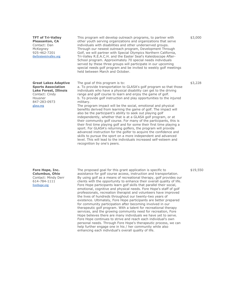**TFT of Tri-Valley Pleasanton, CA** Contact: Dan McKegney 925-462-7201 [thefirstteetrivalley.org](http://thefirstteetrivalley.org/)

**Great Lakes Adaptive Sports Association Lake Forest, Illinois** Contact: Cindy Housner 847-283-0973 [glasa.org](http://glasa.org/)

**Fore Hope, Inc. Columbus, Ohio** Contact: Mindy Derr 614-784-1111 [forehope.org](http://forehope.org/)

This program will develop outreach programs, to partner with other youth serving organizations and organizations that serve individuals with disabilities and other underserved groups. Through our newest outreach program, Development Through Golf, we will partner with Special Olympics Northern California, Tri-Valley R.E.A.C.H. and the Easter Seal's Kaleidoscope After-School program. Approximately 70 special needs individuals served by these three groups will participate in our upcoming special needs golf program and be invited to weekly golf meetings held between March and October.

The goal of this program is to:

a. To provide transportation to GLASA's golf program so that those individuals who have a physical disability can get to the driving range and golf course to learn and enjoy the game of golf. b. To provide golf instruction and play opportunities to the injured military.

The program impact will be the social, emotional and physical benefits derived from learning the game of golf. The impact will also be the participant's ability to seek out playing golf independently, whether that is at a GLASA golf program, or at their community golf course. For many of the participants, this is their first time playing golf and for some their first time playing a sport. For GLASA's returning golfers, the program will provide advanced instruction for the golfer to acquire the confidence and skills to pursue the sport on a more independent and advanced level. This will lead to the individuals increased self-esteem and recognition by one's peers.

The proposed goal for this grant application is specific to assistance for golf course access, instruction and transportation. By using golf as a means of recreational therapy, golf provides our clients with the opportunity to enhance their overall quality of life. Fore Hope participants learn golf skills that parallel their social, emotional, cognitive and physical needs. Fore Hope's staff of golf professionals, recreation therapist and volunteers have improved the lives of hundreds throughout our twenty-two years of existence. Ultimately, Fore Hope participants are better prepared for community participation after becoming involved in our therapeutic golf program. With a talent for recreational therapy services, and the growing community need for recreation, Fore Hope believes there are many individuals we have yet to serve. Fore Hope continues to strive and reach each individual's own personal needs. Through Fore Hope's therapeutic process, we can help further engage one in his / her community while also enhancing each individual's overall quality of life.

\$19,550

\$3,000

\$3,228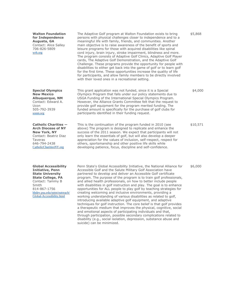**Walton Foundation for Independence Augusta, GA** Contact: Alice Salley 706-826-5809 [wrh.org](http://wrh.org/)

**Special Olympics New Mexico Albuquerque, NM** Contact: Edward A. Ucon 505-792-3939 [sonm.org](http://sonm.org/)

**Catholic Charities — Arch Diocese of NY New York, NY** Contact: Beatriz Diaz Taveras 646-794-2438 [CatholicCharitiesNY.org](http://catholiccharitiesny.org/)

**Global Accessibility Initiative, Penn State University State College, PA** Contact: Tammy B Smith 814-867-1756 [hhdev.psu.edu/rptm/outreach/](http://hhdev.psu.edu/rptm/outreach/Global-Accessibility.html)  [Global-Accessibility.html](http://hhdev.psu.edu/rptm/outreach/Global-Accessibility.html)

The Adaptive Golf program at Walton Foundation exists to bring persons with physical challenges closer to independence and to a meaningful life with family, friends, and communities. Another main objective is to raise awareness of the benefit of sports and leisure programs for those with acquired disabilities like spinal cord injury, brain injury, stroke impairment, blindness and more. The program consists of Adaptive Golf Clinics, Adaptive Golf Player cards, The Adaptive Golf Demonstration, and the Adaptive Golf Challenge. These programs provide the opportunity for people with disabilities to either get back into the game of golf or to learn golf for the first time. These opportunities increase the quality of life for participants, and allow family members to be directly involved with their loved ones in a recreational setting.

This grant application was not funded, since it is a Special Olympics Program that falls under our policy statements due to USGA Funding of the International Special Olympics Program. However, the Alliance Grants Committee felt that the request to provide golf equipment for the program merited funding. The funded amount is specifically for the purchase of golf clubs for participants identified in their funding request.

This is the continuation of the program funded in 2010 (see above) The program is designed to replicate and enhance the success of the 2011 season. We expect that participants will not only learn the essentials of golf, but will also develop a deeper appreciation for the values of inclusion, self-respect, respect for others, sportsmanship and other positive life skills while developing patience, focus, discipline and self-confidence.

Penn State's Global Accessibility Initiative, the National Alliance for Accessible Golf and the Salute Military Golf Association have partnered to develop and deliver an Accessible Golf certificate program. The purpose of the program is to train golf professionals, and allied health professionals, on how to better include people with disabilities in golf instruction and play. The goal is to enhance opportunities for ALL people to play golf by teaching strategies for creating welcoming and inclusive environments, providing a working understanding of various disabilities as related to golf, introducing available adaptive golf equipment, and adaptive techniques for golf instruction. The core belief is that golf provides a therapeutic medium that improves the physical, cognitive, social and emotional aspects of participating individuals and that, through participation, possible secondary complications related to disability (e.g., social isolation, depression, substance abuse and suicide) can be minimized.

\$6,000

\$5,868

\$4,000

\$10,571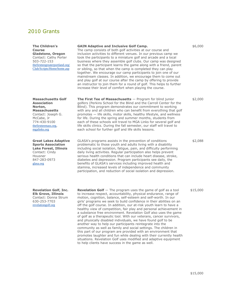# 2010 Grants

**The Children's Course Gladstone, Oregon** Contact: Cathy Porter 503-722-153 [thefirstteegreaterportland.org/](http://thefirstteegreaterportland.org/Club/Scripts/Home/home.asp)  [Club/Scripts/Home/home.asp](http://thefirstteegreaterportland.org/Club/Scripts/Home/home.asp)

**Massachusetts Golf Association Norton, Massachusetts** Contact: Joseph G. McCabe, Jr 774-430-9100 [thefirstteemass.org](http://thefirstteemass.org/), [mgalinks.org](http://mgalinks.org/)

**Great Lakes Adaptive Sports Association Lake Forest, Illinois** Contact: Cindy Housner 847-283-0973 [glasa.org](http://glasa.org/)

**Revelation Golf, Inc. Elk Grove, Illinois** Contact: Donna Strum 630-253-7703 [revelationgolf.org](http://revelationgolf.org/)

### **GAIN Adaptive and Inclusive Golf Camp.**

The camp consists of both golf activities at our course and inclusion activities to different venues. In our previous camp we took the participants to a miniature golf and arcade and a local business where they assemble golf clubs. Our camp was designed so that the participant learns the game along with a friend, parent or sibling, so that when the camp is completed they can play together. We encourage our camp participants to join one of our mainstream classes. In addition, we encourage them to come out and play golf at our course after the camp by offering to provide an instructor to join them for a round of golf. This helps to further increase their level of comfort when playing the course.

**The First Tee of Massachusetts** — Program for blind junior golfers (Perkins School for the Blind and the Carroll Center for the Blind). This program demonstrates our commitment to working with any and all children who can benefit from everything that golf promotes — life skills, motor skills, healthy lifestyle, and wellness for life. During the spring and summer months, students from each of these schools will travel to MGA Links for several golf and life skills clinics. During the fall semester, our staff will travel to each school for further golf and life skills lessons.

GLASA's programs assists in the prevention of conditions problematic to those youth and adults living with a disability including social isolation, fatigue, pain, and difficulty performing daily living activities. Regular participation also helps prevent serious health conditions that can include heart disease, stroke, diabetes and depression. Program participants see daily, the benefits of GLASA's services including improved health and stamina, increased levels of independence and community participation, and reduction of social isolation and depression.

**Revelation Golf** — The program uses the game of golf as a tool to increase respect, accountability, physical endurance, range of motion, cognition, balance, self-esteem and self-worth. In our girls' programs we seek to build confidence in their abilities on an off the golf course. In addition, our at-risk youth learn to have a healthy view of competition, fair play and personal achievement in a substance free environment. Revelation Golf also uses the game of golf as a therapeutic tool. With our veterans, cancer survivors, and physically disabled individuals, we have found golf to be another way to help our participants reintegrate into the community as well as family and social settings. The children in this part of our program are provided with an environment that promotes laughter and fun while dealing with their currently health situations. Revelation Golf uses modified and adaptive equipment to help clients have success in the game as well.

\$2,000

\$6,000

\$2,088

\$15,000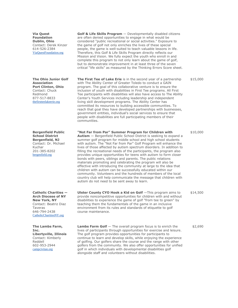**Via Quest Foundation Dublin, Ohio** Contact: Derek Kinzer 614-526-2384 [ViaQuestFoundation.org](http://viaquestfoundation.org/)

**The Ohio Junior Golf Association Port Clinton, Ohio** Contact: Chuck Redmond 877-517-8833 [thefirstteelakeerie.org](http://www.accessgolf.org/grants/thefirstteelakeerie.org)

**Bergenfield Public School District Bergenfield, NJ** Contact: Dr. Michael Kuchar 201-385-8202 [bergenfield.org](http://bergenfield.org/)

**Catholic Charities — Arch Diocese of NY New York, NY** Contact: Beatriz Diaz Taveras 646-794-2438 [CatholicCharitiesNY.org](http://www.accessgolf.org/grants/CatholicCharitiesNY.org)

**The Lambs Farm, Inc. Libertyville, Illinois** Contact: Kimberly Reddell 602-953-2944 [campcivitan.org](http://campcivitan.org/)

**Golf & Life Skills Program** — Developmentally disabled citizens are often denied opportunities to engage in what would be considered "public recreational or social activities." Exposure to the game of golf not only enriches the lives of these special people, the game is well-suited to teach valuable lessons in life. Therefore, this Golf & Life Skills Program directly reflects our Mission and Vision. We fully expect the youth who enroll in and complete this program to not only learn about the game of golf, but to demonstrate improvement in at least three of the seven critical "life skills" as measured by the Thinking Errors Score sheet.

**The First Tee of Lake Erie** is in the second year of a partnership with The Ability Center of Greater Toledo to conduct a GAIN program. The goal of this collaborative venture is to ensure the inclusion of youth with disabilities in First Tee programs. All First Tee participants with disabilities will also have access to The Ability Center's Youth Services including leadership and independent living skill development programs. The Ability Center has committed its resources to building accessible communities. To reach that goal they have developed partnerships with businesses, government entities, individual's social services to ensure that people with disabilities are full participating members of their communities.

**"Not Far from Par" Summer Program for Children with Autism** — Bergenfield Public School District is seeking to expand a summer golf program for middle school and high school students with autism. The "Not Far from Par" Golf Program will enhance the lives of those affected by autism spectrum disorders. In addition to filling the recreational needs of the participants, the program also provides unique opportunities for teens with autism to form closer bonds with peers, siblings and parents. The public relations materials promoting and celebrating the program will also be effective with introducing the community at large to the idea that children with autism can be successfully educated within our community. Volunteers and the hundreds of members of the local country club will help communicate the message that children with autism do not need to be sent away to learn.

**Ulster County CYO Hook a Kid on Golf** —This program aims to provide noncompetitive opportunities for children with and without disabilities to experience the game of golf "from tee to green" by teaching them the fundamentals of the game in an inclusive environment from its rules and standards of etiquette to golf course maintenance.

**Lambs Farm Golf** — The overall program focus is to enrich the lives of participants through opportunities for exercise and leisure. The golf program provides opportunities for participants to continue to learn and develop skills, while enjoying the experience of golfing. Our golfers share the course and the range with other golfers from the community. We also offer opportunities for unified golf in which individuals with developmental disabilities golf alongside staff and volunteers without disabilities.

\$10,000

\$15,000

\$14,500

\$2,690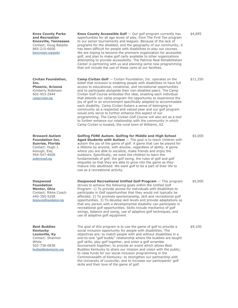**Knox County Parks and Recreation Knoxville, Tennessee** Contact: Doug Bataille 865-215-6600 [knoxcounty.org/parks](http://knoxcounty.org/parks)

**Civitan Foundation, Inc. Phoenix, Arizona** Kimberly Robinson 602-953-2944 [campcivitan.org](http://campcivitan.org/)

**Broward Autism Foundation Inc. Sunrise, Florida** Contact: Hugh J. Keough, Esq. 954-547-4608 [asabroward.org](http://asabroward.org/)

**Deepwood Foundation Mentor, Ohio** Contact: Rikke Coach 440-350-5208 [deepwoodfoundation.org](http://deepwoodfoundation.org/)

**Best Buddies Kentucky Louisville, Ky** Contact: Shannon **White** 502-736-0838 [bestbuddieskentucky.org](http://bestbuddieskentucky.org/)

**Knox County Accessible Golf** — Our golf program currently has opportunities for all age levels of play, from The First Tee program to our senior tournaments and leagues. Because of the lack of programs for the disabled, and the geography of our community, it has been difficult for people with disabilities to play our courses. We are hoping to become the premiere organization for accessible golf, and plan to make golf carts available to other organizations attempting to provide accessibility. The Patricia Neal Rehabilitation Center is partnering with us and planning some new programming that will include the use of these carts at our facilities.

**Camp Civitan Golf** — Civitan Foundation, Inc. operates on the belief that inclusion is enabling people with disabilities to have full access to educational, vocational, and recreational opportunities and to participate alongside their non-disabled peers. The Camp Civitan Golf Course embodies this idea, enabling each individual that attends our camp program the opportunity to experience the joy of golf in an environment specifically adapted to accommodate each disability. Camp Civitan fosters a sense of belonging to community as a respected and valued peer and our golf program would only serve to further enhance this aspect of our programming. The Camp Civitan Golf Course will also act as a tool to further enhance our relationship with the community in which Camp Civitan is located, the rural town of Williams, AZ.

**Golfing FORE Autism. Golfing for Middle and High School Aged Students with Autism** — The goal is to teach children with autism the joy of the game of golf. A game that can be played for a lifetime by anyone, with anyone, regardless of ability. A game where you are able to socialize, make friends and enjoy the outdoors. Specifically, we want the children to learn the fundamentals of golf, the golf swing, the rules of golf and golf etiquette so that they are able to grow into the game as they mature into adulthood. We want golf to be a part of their life to use as a recreational activity.

**Deepwood Recreational Unified Golf Program** — This program strives to achieve the following goals within the Unified Golf Program: 1) To provide access for individuals with disabilities to participate in Golf opportunities that they would not typically be afforded. 2) To promote sportsmanship, skill and recreational golf opportunities. 3) To develop skill levels and provide adaptations so that any person with a developmental disability can participate in recreational golf opportunities. Skills include mechanics of golf swings, balance and swing, use of adaptive golf techniques, and use of adaptive golf equipment

The goal of this program is to use the game of golf to provide a social inclusion opportunity for people with disabilities. The objectives are: to match people with and without disabilities in a one-to-one "golf buddy" relationship where the buddies are taught golf skills, play golf together, and enter a golf scramble tournament together; to provide an event which allows Best Buddies Kentucky to share our mission and vision with the public; to raise funds for our social inclusion programming in the Commonwealth of Kentucky; to strengthen our partnership with the University of Louisville; and to increase our participants' golf skills and their love of the game of golf.

\$5,000

\$5,000

\$9,100

\$4,895

\$11,250